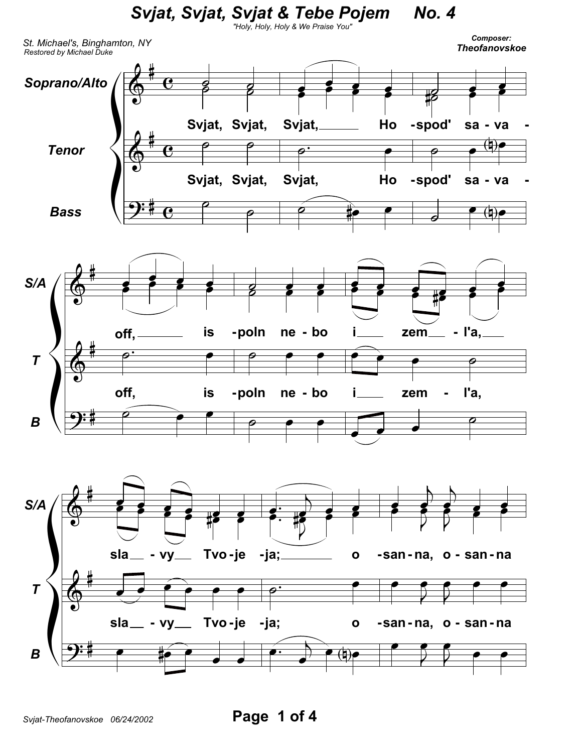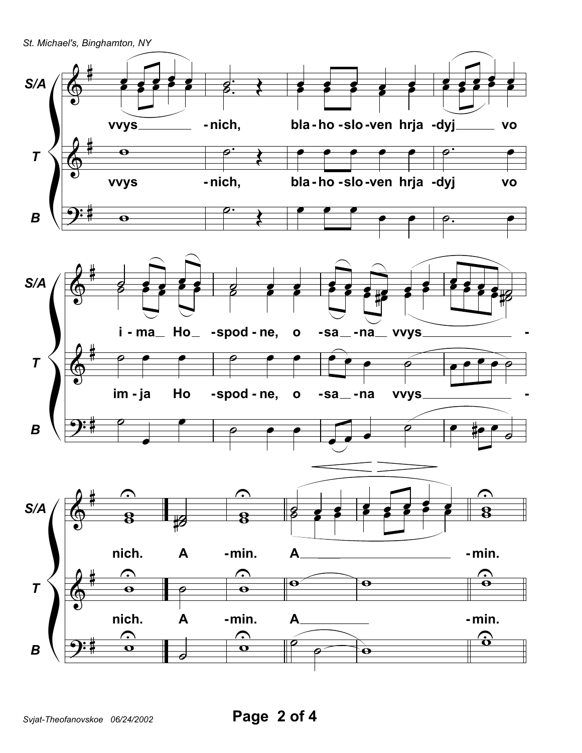St. Michael's, Binghamton, NY

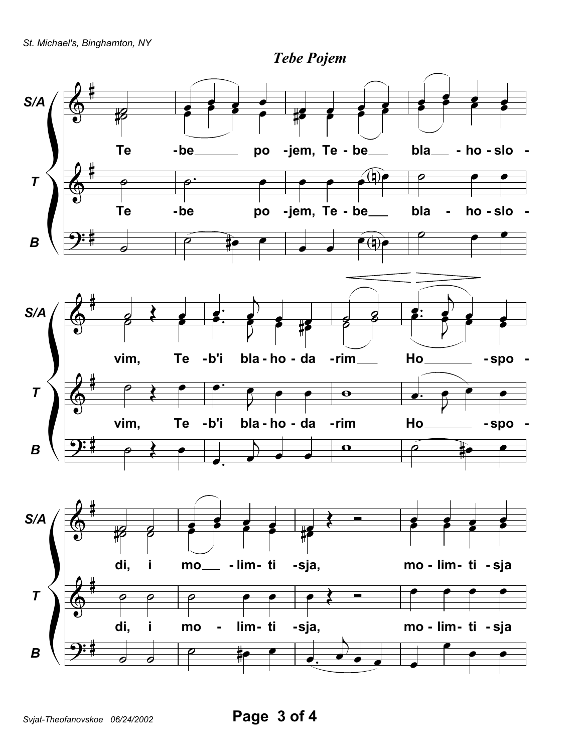